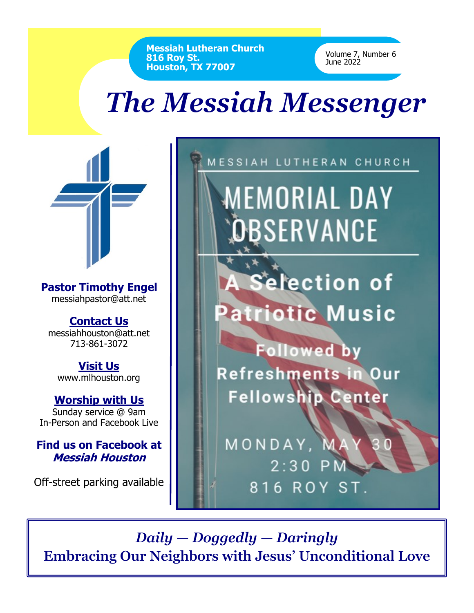**Messiah Lutheran Church 816 Roy St. Houston, TX 77007**

Volume 7, Number 6 June 2022

## *The Messiah Messenger*

**Pastor Timothy Engel** messiahpastor@att.net

**Contact Us** messiahhouston@att.net 713-861-3072

**Visit Us** www.mlhouston.org

**Worship with Us** Sunday service @ 9am In-Person and Facebook Live

**Find us on Facebook at Messiah Houston**

Off-street parking available



*Daily — Doggedly — Daringly* **Embracing Our Neighbors with Jesus' Unconditional Love**